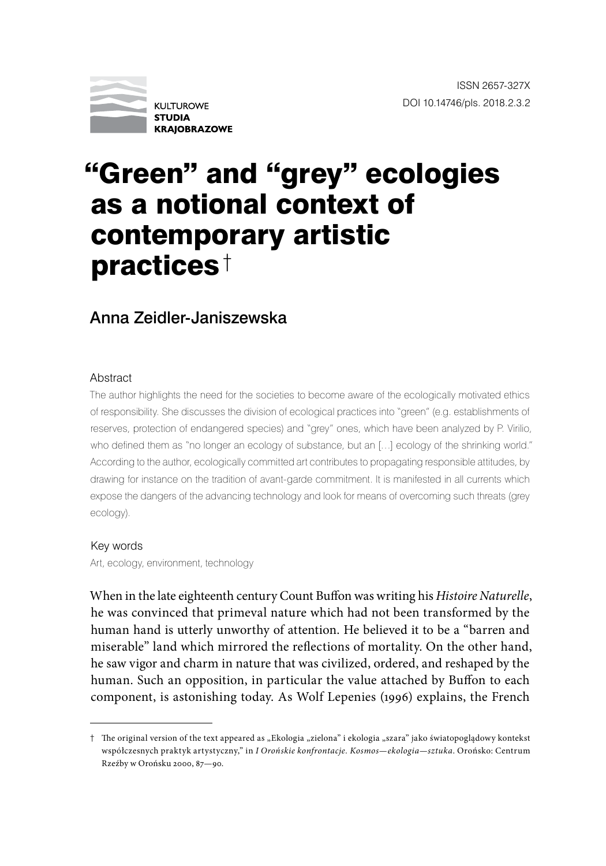

# "Green" and "grey" ecologies as a notional context of contemporary artistic practices †

## Anna Zeidler-Janiszewska

#### Abstract

The author highlights the need for the societies to become aware of the ecologically motivated ethics of responsibility. She discusses the division of ecological practices into "green" (e.g. establishments of reserves, protection of endangered species) and "grey" ones, which have been analyzed by P. Virilio, who defined them as "no longer an ecology of substance, but an [...] ecology of the shrinking world." According to the author, ecologically committed art contributes to propagating responsible attitudes, by drawing for instance on the tradition of avant-garde commitment. It is manifested in all currents which expose the dangers of the advancing technology and look for means of overcoming such threats (grey ecology).

### Key words

Art, ecology, environment, technology

When in the late eighteenth century Count Buffon was writing his *Histoire Naturelle*, he was convinced that primeval nature which had not been transformed by the human hand is utterly unworthy of attention. He believed it to be a "barren and miserable" land which mirrored the reflections of mortality. On the other hand, he saw vigor and charm in nature that was civilized, ordered, and reshaped by the human. Such an opposition, in particular the value attached by Buffon to each component, is astonishing today. As Wolf Lepenies (1996) explains, the French

<sup>†</sup> The original version of the text appeared as "Ekologia "zielona" i ekologia "szara" jako światopoglądowy kontekst współczesnych praktyk artystyczny," in *I Orońskie konfrontacje. Kosmos—ekologia—sztuka*. Orońsko: Centrum Rzeźby w Orońsku 2000, 87—90.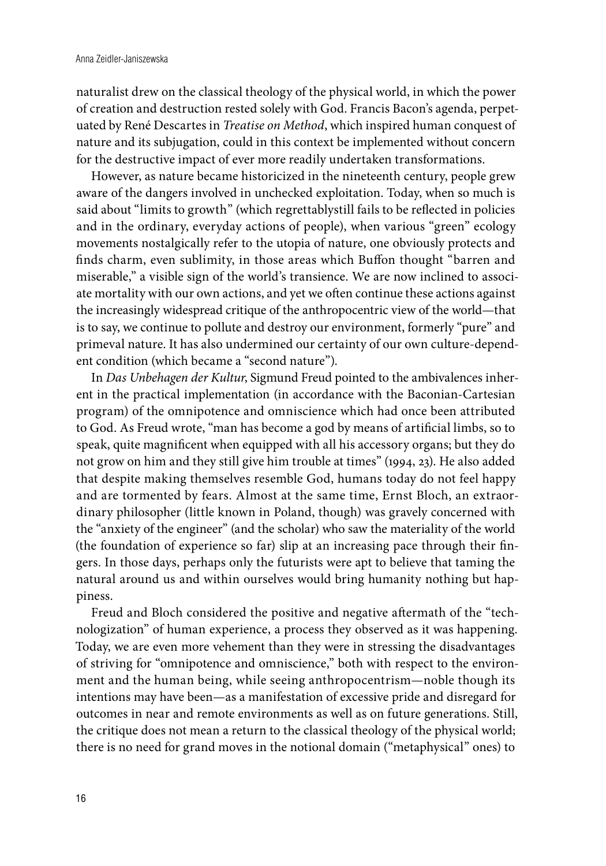naturalist drew on the classical theology of the physical world, in which the power of creation and destruction rested solely with God. Francis Bacon's agenda, perpetuated by René Descartes in *Treatise on Method*, which inspired human conquest of nature and its subjugation, could in this context be implemented without concern for the destructive impact of ever more readily undertaken transformations.

However, as nature became historicized in the nineteenth century, people grew aware of the dangers involved in unchecked exploitation. Today, when so much is said about "limits to growth" (which regrettablystill fails to be reflected in policies and in the ordinary, everyday actions of people), when various "green" ecology movements nostalgically refer to the utopia of nature, one obviously protects and finds charm, even sublimity, in those areas which Buffon thought "barren and miserable," a visible sign of the world's transience. We are now inclined to associate mortality with our own actions, and yet we often continue these actions against the increasingly widespread critique of the anthropocentric view of the world—that is to say, we continue to pollute and destroy our environment, formerly "pure" and primeval nature. It has also undermined our certainty of our own culture-dependent condition (which became a "second nature").

In *Das Unbehagen der Kultur*, Sigmund Freud pointed to the ambivalences inherent in the practical implementation (in accordance with the Baconian-Cartesian program) of the omnipotence and omniscience which had once been attributed to God. As Freud wrote, "man has become a god by means of artificial limbs, so to speak, quite magnificent when equipped with all his accessory organs; but they do not grow on him and they still give him trouble at times" (1994, 23). He also added that despite making themselves resemble God, humans today do not feel happy and are tormented by fears. Almost at the same time, Ernst Bloch, an extraordinary philosopher (little known in Poland, though) was gravely concerned with the "anxiety of the engineer" (and the scholar) who saw the materiality of the world (the foundation of experience so far) slip at an increasing pace through their fingers. In those days, perhaps only the futurists were apt to believe that taming the natural around us and within ourselves would bring humanity nothing but happiness.

Freud and Bloch considered the positive and negative aftermath of the "technologization" of human experience, a process they observed as it was happening. Today, we are even more vehement than they were in stressing the disadvantages of striving for "omnipotence and omniscience," both with respect to the environment and the human being, while seeing anthropocentrism—noble though its intentions may have been—as a manifestation of excessive pride and disregard for outcomes in near and remote environments as well as on future generations. Still, the critique does not mean a return to the classical theology of the physical world; there is no need for grand moves in the notional domain ("metaphysical" ones) to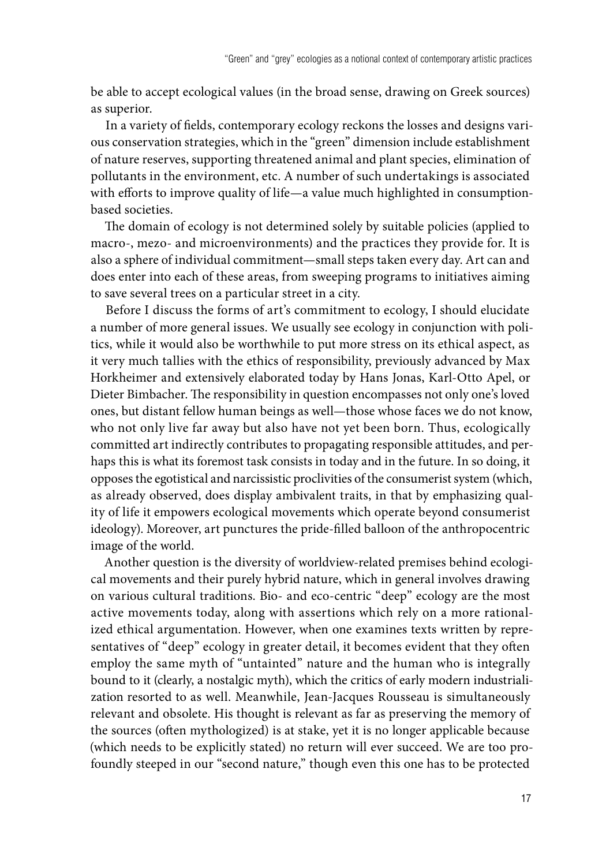be able to accept ecological values (in the broad sense, drawing on Greek sources) as superior.

In a variety of fields, contemporary ecology reckons the losses and designs various conservation strategies, which in the "green" dimension include establishment of nature reserves, supporting threatened animal and plant species, elimination of pollutants in the environment, etc. A number of such undertakings is associated with efforts to improve quality of life—a value much highlighted in consumptionbased societies.

The domain of ecology is not determined solely by suitable policies (applied to macro-, mezo- and microenvironments) and the practices they provide for. It is also a sphere of individual commitment—small steps taken every day. Art can and does enter into each of these areas, from sweeping programs to initiatives aiming to save several trees on a particular street in a city.

Before I discuss the forms of art's commitment to ecology, I should elucidate a number of more general issues. We usually see ecology in conjunction with politics, while it would also be worthwhile to put more stress on its ethical aspect, as it very much tallies with the ethics of responsibility, previously advanced by Max Horkheimer and extensively elaborated today by Hans Jonas, Karl-Otto Apel, or Dieter Bimbacher. The responsibility in question encompasses not only one's loved ones, but distant fellow human beings as well—those whose faces we do not know, who not only live far away but also have not yet been born. Thus, ecologically committed art indirectly contributes to propagating responsible attitudes, and perhaps this is what its foremost task consists in today and in the future. In so doing, it opposes the egotistical and narcissistic proclivities of the consumerist system (which, as already observed, does display ambivalent traits, in that by emphasizing quality of life it empowers ecological movements which operate beyond consumerist ideology). Moreover, art punctures the pride-filled balloon of the anthropocentric image of the world.

Another question is the diversity of worldview-related premises behind ecological movements and their purely hybrid nature, which in general involves drawing on various cultural traditions. Bio- and eco-centric "deep" ecology are the most active movements today, along with assertions which rely on a more rationalized ethical argumentation. However, when one examines texts written by representatives of "deep" ecology in greater detail, it becomes evident that they often employ the same myth of "untainted" nature and the human who is integrally bound to it (clearly, a nostalgic myth), which the critics of early modern industrialization resorted to as well. Meanwhile, Jean-Jacques Rousseau is simultaneously relevant and obsolete. His thought is relevant as far as preserving the memory of the sources (often mythologized) is at stake, yet it is no longer applicable because (which needs to be explicitly stated) no return will ever succeed. We are too profoundly steeped in our "second nature," though even this one has to be protected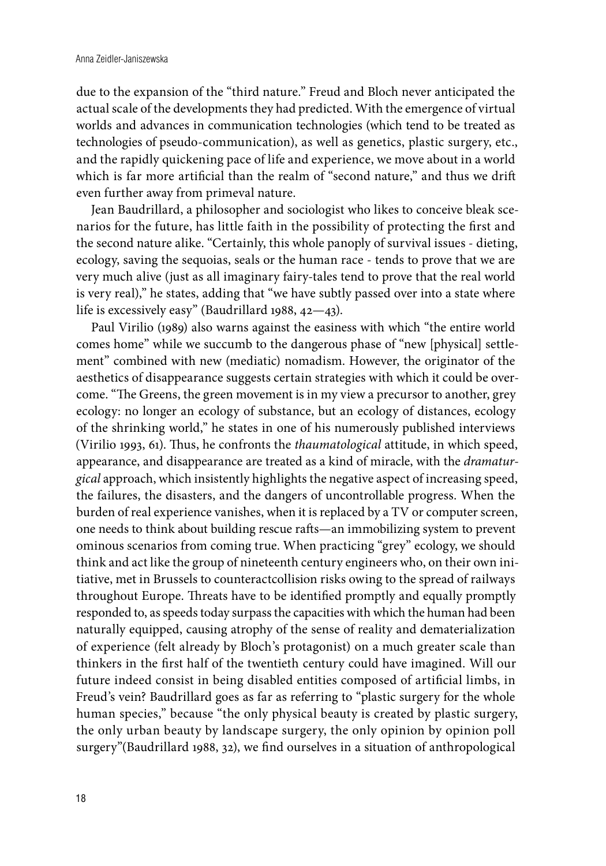due to the expansion of the "third nature." Freud and Bloch never anticipated the actual scale of the developments they had predicted. With the emergence of virtual worlds and advances in communication technologies (which tend to be treated as technologies of pseudo-communication), as well as genetics, plastic surgery, etc., and the rapidly quickening pace of life and experience, we move about in a world which is far more artificial than the realm of "second nature," and thus we drift even further away from primeval nature.

Jean Baudrillard, a philosopher and sociologist who likes to conceive bleak scenarios for the future, has little faith in the possibility of protecting the first and the second nature alike. "Certainly, this whole panoply of survival issues - dieting, ecology, saving the sequoias, seals or the human race - tends to prove that we are very much alive (just as all imaginary fairy-tales tend to prove that the real world is very real)," he states, adding that "we have subtly passed over into a state where life is excessively easy" (Baudrillard 1988, 42—43).

Paul Virilio (1989) also warns against the easiness with which "the entire world comes home" while we succumb to the dangerous phase of "new [physical] settlement" combined with new (mediatic) nomadism. However, the originator of the aesthetics of disappearance suggests certain strategies with which it could be overcome. "The Greens, the green movement is in my view a precursor to another, grey ecology: no longer an ecology of substance, but an ecology of distances, ecology of the shrinking world," he states in one of his numerously published interviews (Virilio 1993, 61). Thus, he confronts the *thaumatological* attitude, in which speed, appearance, and disappearance are treated as a kind of miracle, with the *dramaturgical* approach, which insistently highlights the negative aspect of increasing speed, the failures, the disasters, and the dangers of uncontrollable progress. When the burden of real experience vanishes, when it is replaced by a TV or computer screen, one needs to think about building rescue rafts—an immobilizing system to prevent ominous scenarios from coming true. When practicing "grey" ecology, we should think and act like the group of nineteenth century engineers who, on their own initiative, met in Brussels to counteractcollision risks owing to the spread of railways throughout Europe. Threats have to be identified promptly and equally promptly responded to, as speeds today surpass the capacities with which the human had been naturally equipped, causing atrophy of the sense of reality and dematerialization of experience (felt already by Bloch's protagonist) on a much greater scale than thinkers in the first half of the twentieth century could have imagined. Will our future indeed consist in being disabled entities composed of artificial limbs, in Freud's vein? Baudrillard goes as far as referring to "plastic surgery for the whole human species," because "the only physical beauty is created by plastic surgery, the only urban beauty by landscape surgery, the only opinion by opinion poll surgery"(Baudrillard 1988, 32), we find ourselves in a situation of anthropological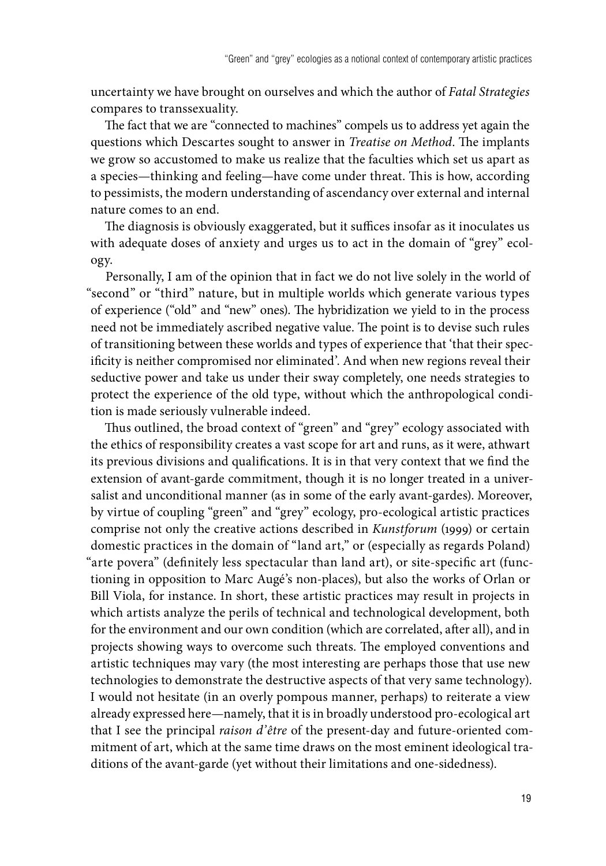uncertainty we have brought on ourselves and which the author of *Fatal Strategies* compares to transsexuality.

The fact that we are "connected to machines" compels us to address yet again the questions which Descartes sought to answer in *Treatise on Method*. The implants we grow so accustomed to make us realize that the faculties which set us apart as a species—thinking and feeling—have come under threat. This is how, according to pessimists, the modern understanding of ascendancy over external and internal nature comes to an end.

The diagnosis is obviously exaggerated, but it suffices insofar as it inoculates us with adequate doses of anxiety and urges us to act in the domain of "grey" ecology.

Personally, I am of the opinion that in fact we do not live solely in the world of "second" or "third" nature, but in multiple worlds which generate various types of experience ("old" and "new" ones). The hybridization we yield to in the process need not be immediately ascribed negative value. The point is to devise such rules of transitioning between these worlds and types of experience that 'that their specificity is neither compromised nor eliminated'. And when new regions reveal their seductive power and take us under their sway completely, one needs strategies to protect the experience of the old type, without which the anthropological condition is made seriously vulnerable indeed.

Thus outlined, the broad context of "green" and "grey" ecology associated with the ethics of responsibility creates a vast scope for art and runs, as it were, athwart its previous divisions and qualifications. It is in that very context that we find the extension of avant-garde commitment, though it is no longer treated in a universalist and unconditional manner (as in some of the early avant-gardes). Moreover, by virtue of coupling "green" and "grey" ecology, pro-ecological artistic practices comprise not only the creative actions described in *Kunstforum* (1999) or certain domestic practices in the domain of "land art," or (especially as regards Poland) "arte povera" (definitely less spectacular than land art), or site-specific art (functioning in opposition to Marc Augé's non-places), but also the works of Orlan or Bill Viola, for instance. In short, these artistic practices may result in projects in which artists analyze the perils of technical and technological development, both for the environment and our own condition (which are correlated, after all), and in projects showing ways to overcome such threats. The employed conventions and artistic techniques may vary (the most interesting are perhaps those that use new technologies to demonstrate the destructive aspects of that very same technology). I would not hesitate (in an overly pompous manner, perhaps) to reiterate a view already expressed here—namely, that it is in broadly understood pro-ecological art that I see the principal *raison d'être* of the present-day and future-oriented commitment of art, which at the same time draws on the most eminent ideological traditions of the avant-garde (yet without their limitations and one-sidedness).